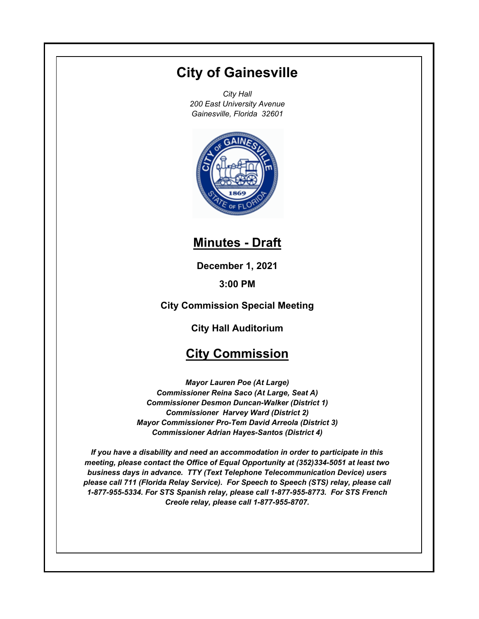# **City of Gainesville**

*City Hall 200 East University Avenue Gainesville, Florida 32601*



# **Minutes - Draft**

**December 1, 2021**

**3:00 PM**

**City Commission Special Meeting**

**City Hall Auditorium**

# **City Commission**

*Mayor Lauren Poe (At Large) Commissioner Reina Saco (At Large, Seat A) Commissioner Desmon Duncan-Walker (District 1) Commissioner Harvey Ward (District 2) Mayor Commissioner Pro-Tem David Arreola (District 3) Commissioner Adrian Hayes-Santos (District 4)*

*If you have a disability and need an accommodation in order to participate in this meeting, please contact the Office of Equal Opportunity at (352)334-5051 at least two business days in advance. TTY (Text Telephone Telecommunication Device) users please call 711 (Florida Relay Service). For Speech to Speech (STS) relay, please call 1-877-955-5334. For STS Spanish relay, please call 1-877-955-8773. For STS French Creole relay, please call 1-877-955-8707.*